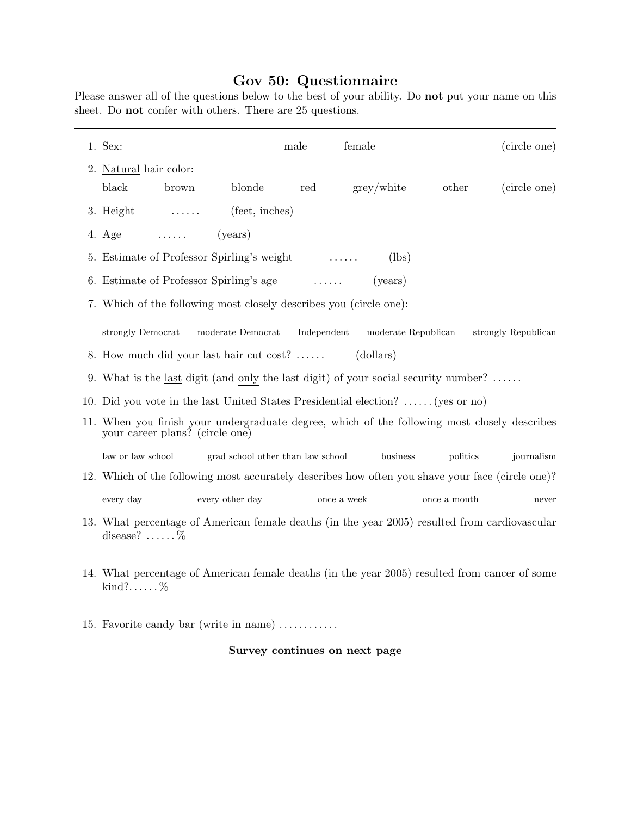## Gov 50: Questionnaire

Please answer all of the questions below to the best of your ability. Do not put your name on this sheet. Do not confer with others. There are 25 questions.

| 1. Sex:                                                                                                                             |                                                                                            | male        | female     |              | (circle one) |  |
|-------------------------------------------------------------------------------------------------------------------------------------|--------------------------------------------------------------------------------------------|-------------|------------|--------------|--------------|--|
| 2. Natural hair color:                                                                                                              |                                                                                            |             |            |              |              |  |
| black<br>brown                                                                                                                      | blonde                                                                                     | red         | grey/white | other        | (circle one) |  |
| 3. Height<br><u>a serial de la califación de la califación de la califación de la califación de la califación de la califación </u> | (feet, inches)                                                                             |             |            |              |              |  |
| 4. Age<br><b>Contract Contract Contract</b>                                                                                         | (years)                                                                                    |             |            |              |              |  |
| 5. Estimate of Professor Spirling's weight<br>(lbs)                                                                                 |                                                                                            |             |            |              |              |  |
|                                                                                                                                     | 6. Estimate of Professor Spirling's age<br>(years)                                         |             |            |              |              |  |
| 7. Which of the following most closely describes you (circle one):                                                                  |                                                                                            |             |            |              |              |  |
| strongly Democrat                                                                                                                   | moderate Democrat<br>Independent<br>moderate Republican<br>strongly Republican             |             |            |              |              |  |
| 8. How much did your last hair cut cost?<br>(dollars)                                                                               |                                                                                            |             |            |              |              |  |
|                                                                                                                                     | 9. What is the <u>last</u> digit (and only the last digit) of your social security number? |             |            |              |              |  |
| 10. Did you vote in the last United States Presidential election?  (yes or no)                                                      |                                                                                            |             |            |              |              |  |
| 11. When you finish your undergraduate degree, which of the following most closely describes<br>your career plans? (circle one)     |                                                                                            |             |            |              |              |  |
| law or law school                                                                                                                   | grad school other than law school                                                          |             | business   | politics     | journalism   |  |
| 12. Which of the following most accurately describes how often you shave your face (circle one)?                                    |                                                                                            |             |            |              |              |  |
| every day                                                                                                                           | every other day                                                                            | once a week |            | once a month | never        |  |
| 13. What percentage of American female deaths (in the year 2005) resulted from cardiovascular<br>disease? $\ldots \ldots$ %         |                                                                                            |             |            |              |              |  |

- 14. What percentage of American female deaths (in the year 2005) resulted from cancer of some kind?. . . . . .  $\%$
- 15. Favorite candy bar (write in name) . . . . . . . . . . . .

## Survey continues on next page